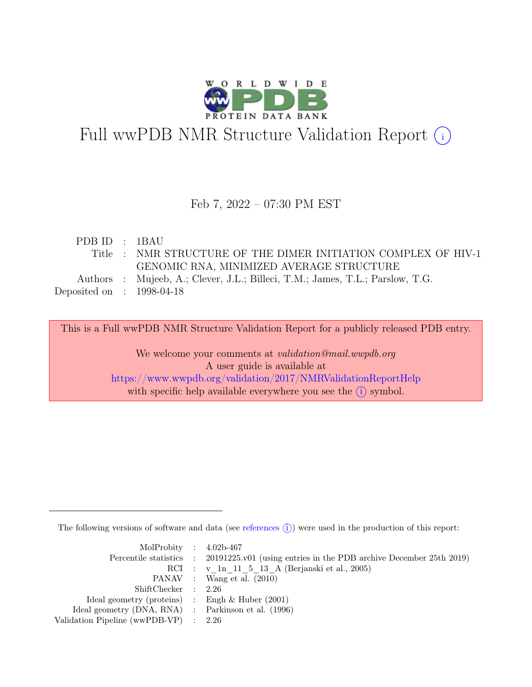

# Full wwPDB NMR Structure Validation Report (i)

#### Feb 7, 2022 – 07:30 PM EST

| PDBID : 1BAU                |                                                                               |
|-----------------------------|-------------------------------------------------------------------------------|
|                             | Title : NMR STRUCTURE OF THE DIMER INITIATION COMPLEX OF HIV-1                |
|                             | GENOMIC RNA, MINIMIZED AVERAGE STRUCTURE                                      |
|                             | Authors : Mujeeb, A.; Clever, J.L.; Billeci, T.M.; James, T.L.; Parslow, T.G. |
| Deposited on : $1998-04-18$ |                                                                               |

This is a Full wwPDB NMR Structure Validation Report for a publicly released PDB entry. We welcome your comments at *validation@mail.wwpdb.org* 

> A user guide is available at <https://www.wwpdb.org/validation/2017/NMRValidationReportHelp> with specific help available everywhere you see the  $(i)$  symbol.

The following versions of software and data (see [references](https://www.wwpdb.org/validation/2017/NMRValidationReportHelp#references)  $\hat{I}$ ) were used in the production of this report:

| MolProbity : $4.02b-467$                            |                                                                                            |
|-----------------------------------------------------|--------------------------------------------------------------------------------------------|
|                                                     | Percentile statistics : 20191225.v01 (using entries in the PDB archive December 25th 2019) |
|                                                     | RCI : v 1n 11 5 13 A (Berjanski et al., 2005)                                              |
|                                                     | PANAV : Wang et al. (2010)                                                                 |
| ShiftChecker : 2.26                                 |                                                                                            |
| Ideal geometry (proteins) : Engh $\&$ Huber (2001)  |                                                                                            |
| Ideal geometry (DNA, RNA) : Parkinson et al. (1996) |                                                                                            |
| Validation Pipeline (wwPDB-VP) : 2.26               |                                                                                            |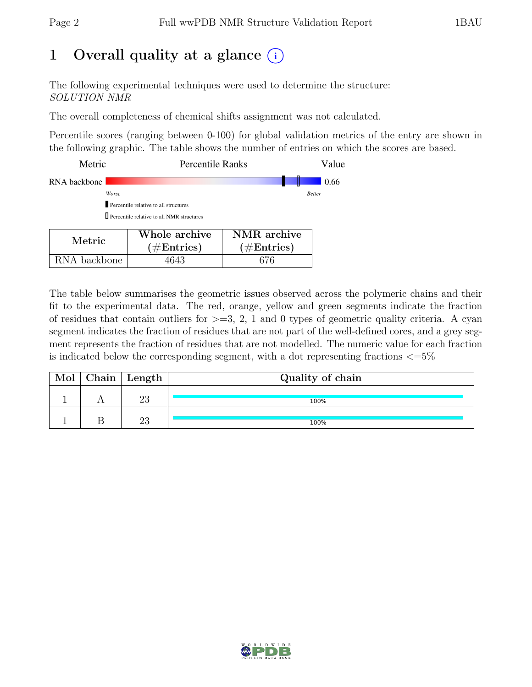## 1 Overall quality at a glance  $(i)$

The following experimental techniques were used to determine the structure: SOLUTION NMR

The overall completeness of chemical shifts assignment was not calculated.

Percentile scores (ranging between 0-100) for global validation metrics of the entry are shown in the following graphic. The table shows the number of entries on which the scores are based.

| Metric                                             | <b>Percentile Ranks</b> |                               | Value         |  |  |
|----------------------------------------------------|-------------------------|-------------------------------|---------------|--|--|
| RNA backbone                                       |                         |                               | 0.66          |  |  |
| Worse                                              |                         |                               | <b>Better</b> |  |  |
| Percentile relative to all structures              |                         |                               |               |  |  |
| <b>I</b> Percentile relative to all NMR structures |                         |                               |               |  |  |
|                                                    | Whole archive           | NMR archive                   |               |  |  |
| Metric                                             | $\#$ Entries)           | $\hat{}'\# \mathrm{Entries})$ |               |  |  |

RNA backbone | 4643 | 676

The table below summarises the geometric issues observed across the polymeric chains and their fit to the experimental data. The red, orange, yellow and green segments indicate the fraction of residues that contain outliers for  $>=3, 2, 1$  and 0 types of geometric quality criteria. A cyan segment indicates the fraction of residues that are not part of the well-defined cores, and a grey segment represents the fraction of residues that are not modelled. The numeric value for each fraction is indicated below the corresponding segment, with a dot representing fractions  $\langle=5\%$ 

| Mol | Chain   Length $\perp$ | Quality of chain |  |  |  |
|-----|------------------------|------------------|--|--|--|
|     | ഹ                      | 100%             |  |  |  |
|     | ഹ                      | 100%             |  |  |  |

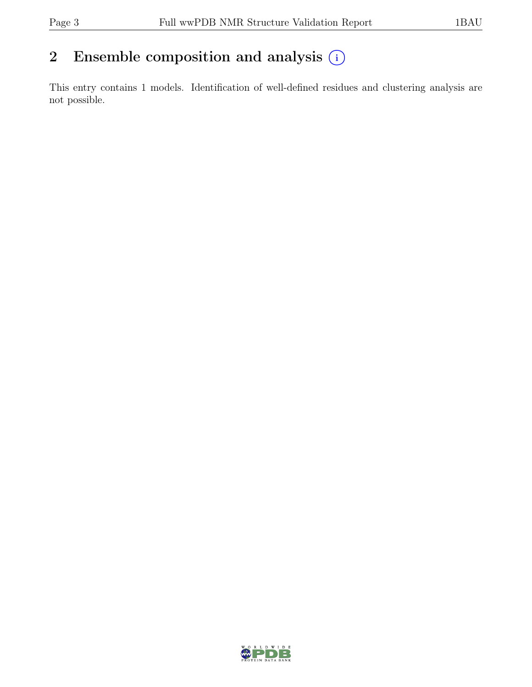## 2 Ensemble composition and analysis  $(i)$

This entry contains 1 models. Identification of well-defined residues and clustering analysis are not possible.

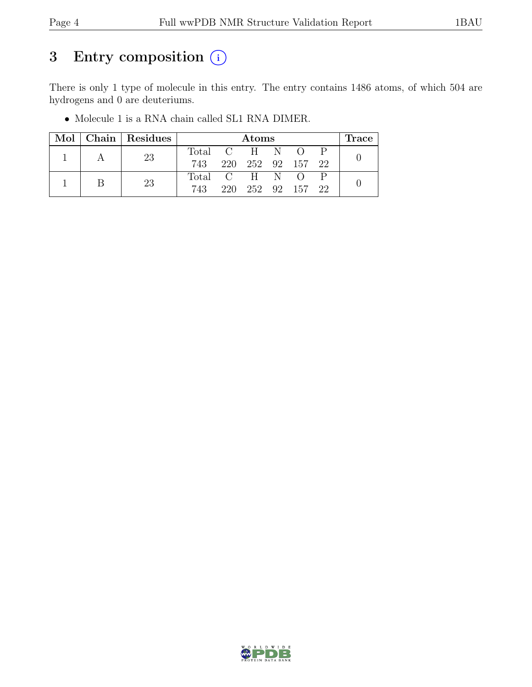## 3 Entry composition  $(i)$

There is only 1 type of molecule in this entry. The entry contains 1486 atoms, of which 504 are hydrogens and 0 are deuteriums.

|  |  | Mol   Chain   Residues | Atoms           |                   |                   |  | Trace |  |
|--|--|------------------------|-----------------|-------------------|-------------------|--|-------|--|
|  |  | 23                     | Total C H N O P |                   |                   |  |       |  |
|  |  |                        | 743             | 220 252 92 157 22 |                   |  |       |  |
|  |  | 23                     | Total C H N O   |                   |                   |  |       |  |
|  |  |                        | 743             |                   | 220 252 92 157 22 |  |       |  |

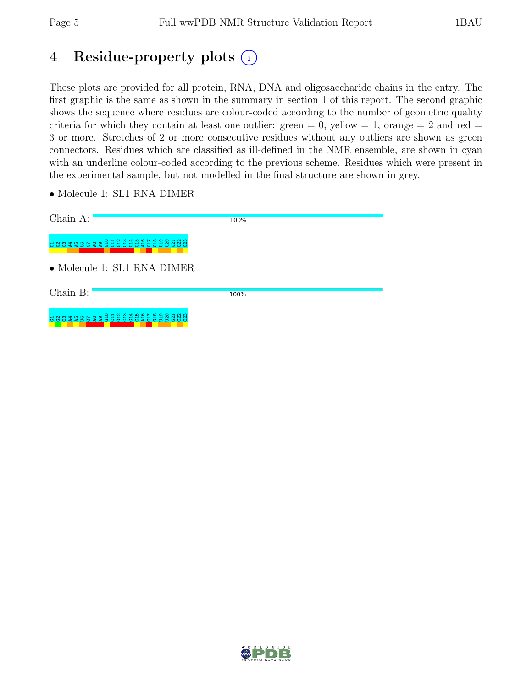## 4 Residue-property plots (i)

These plots are provided for all protein, RNA, DNA and oligosaccharide chains in the entry. The first graphic is the same as shown in the summary in section 1 of this report. The second graphic shows the sequence where residues are colour-coded according to the number of geometric quality criteria for which they contain at least one outlier: green  $= 0$ , yellow  $= 1$ , orange  $= 2$  and red  $=$ 3 or more. Stretches of 2 or more consecutive residues without any outliers are shown as green connectors. Residues which are classified as ill-defined in the NMR ensemble, are shown in cyan with an underline colour-coded according to the previous scheme. Residues which were present in the experimental sample, but not modelled in the final structure are shown in grey.

• Molecule 1: SL1 RNA DIMER

| Chain A:                                                 | 100% |
|----------------------------------------------------------|------|
| ನ ನಿ ನಿ<br>s 8 8 4 4 5 6 4 4 8 6 9 7 8 9 9 4 6 6 7 8 9 8 |      |
| $\bullet$ Molecule 1: SL1 RNA DIMER                      |      |
| Chain B:                                                 | 100% |
| 588348558855555555555<br>$O + N$<br>₽                    |      |

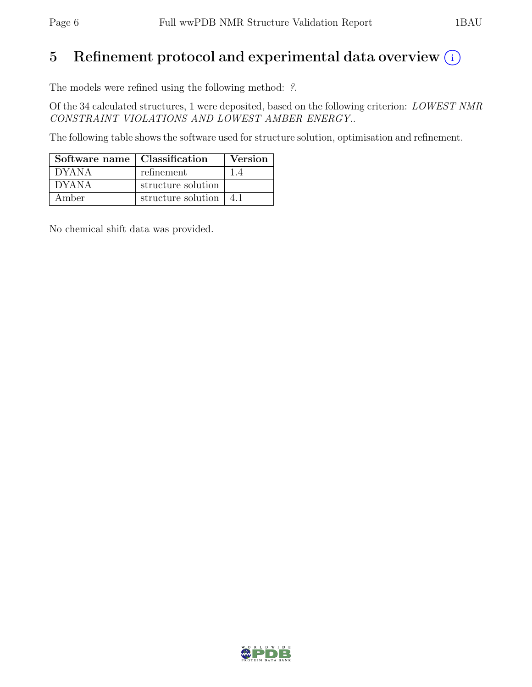## 5 Refinement protocol and experimental data overview  $(i)$

The models were refined using the following method: ?.

Of the 34 calculated structures, 1 were deposited, based on the following criterion: LOWEST NMR CONSTRAINT VIOLATIONS AND LOWEST AMBER ENERGY..

The following table shows the software used for structure solution, optimisation and refinement.

| Software name   Classification |                    | <b>Version</b> |
|--------------------------------|--------------------|----------------|
| <b>DYANA</b>                   | refinement         |                |
| <b>DYANA</b>                   | structure solution |                |
| Amber                          | structure solution |                |

No chemical shift data was provided.

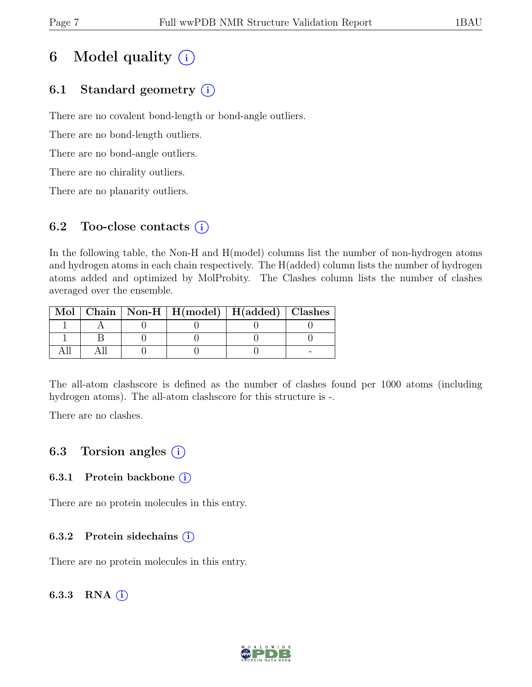## 6 Model quality  $(i)$

### 6.1 Standard geometry  $(i)$

There are no covalent bond-length or bond-angle outliers.

There are no bond-length outliers.

There are no bond-angle outliers.

There are no chirality outliers.

There are no planarity outliers.

#### 6.2 Too-close contacts  $(i)$

In the following table, the Non-H and H(model) columns list the number of non-hydrogen atoms and hydrogen atoms in each chain respectively. The H(added) column lists the number of hydrogen atoms added and optimized by MolProbity. The Clashes column lists the number of clashes averaged over the ensemble.

|  | Mol   Chain   Non-H   $H (model)$   $H (added)$   Clashes |  |
|--|-----------------------------------------------------------|--|
|  |                                                           |  |
|  |                                                           |  |
|  |                                                           |  |

The all-atom clashscore is defined as the number of clashes found per 1000 atoms (including hydrogen atoms). The all-atom clashscore for this structure is -.

There are no clashes.

### 6.3 Torsion angles (i)

#### 6.3.1 Protein backbone  $(i)$

There are no protein molecules in this entry.

#### 6.3.2 Protein sidechains  $(i)$

There are no protein molecules in this entry.

#### 6.3.3 RNA  $(i)$

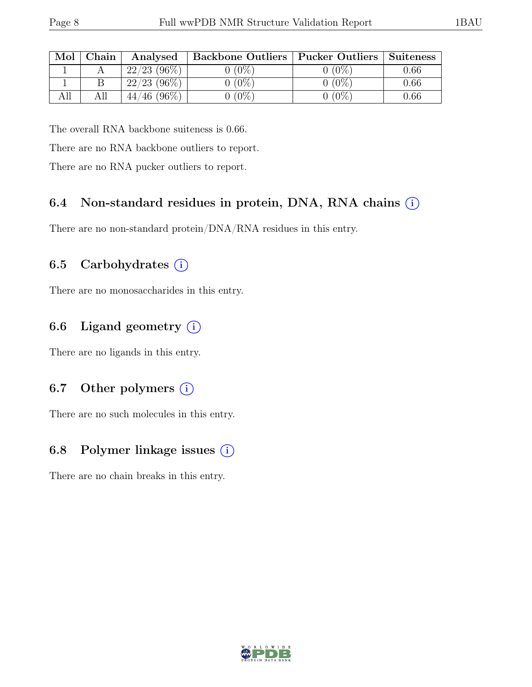| Mol | ${\rm Chain}$ | Analysed       | Backbone Outliers   Pucker Outliers |         | Suiteness |
|-----|---------------|----------------|-------------------------------------|---------|-----------|
|     |               | $22/23$ (96\%) | $(0\%)$                             | $(0\%$  | 0.66      |
|     |               | $22/23$ (96\%) | $0(0\%)$                            | $(0\%)$ | 0.66      |
|     |               | $44/46$ (96\%) | $(0\%)$                             | $(0\%$  | 0.66      |

The overall RNA backbone suiteness is 0.66.

There are no RNA backbone outliers to report.

There are no RNA pucker outliers to report.

#### 6.4 Non-standard residues in protein, DNA, RNA chains (i)

There are no non-standard protein/DNA/RNA residues in this entry.

#### 6.5 Carbohydrates  $(i)$

There are no monosaccharides in this entry.

### 6.6 Ligand geometry  $(i)$

There are no ligands in this entry.

#### 6.7 Other polymers  $(i)$

There are no such molecules in this entry.

### 6.8 Polymer linkage issues (i)

There are no chain breaks in this entry.